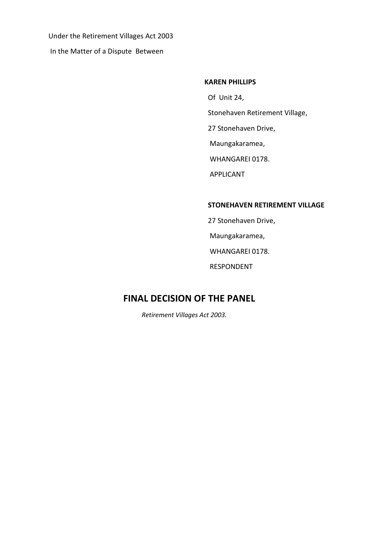Under the Retirement Villages Act 2003 In the Matter of a Dispute Between

#### **KAREN PHILLIPS**

Of Unit 24,

Stonehaven Retirement Village,

27 Stonehaven Drive,

Maungakaramea,

WHANGAREI 0178.

APPLICANT

#### **STONEHAVEN RETIREMENT VILLAGE**

 27 Stonehaven Drive, Maungakaramea, WHANGAREI 0178. RESPONDENT

## **FINAL DECISION OF THE PANEL**

*Retirement Villages Act 2003.*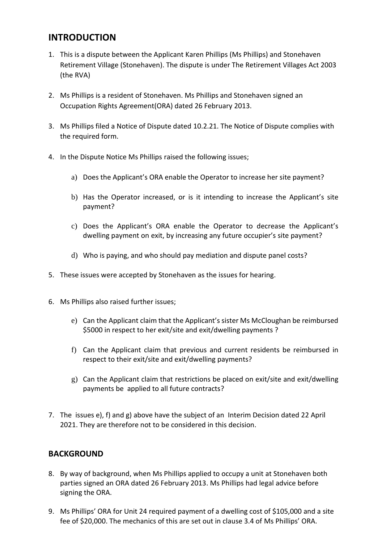## **INTRODUCTION**

- 1. This is a dispute between the Applicant Karen Phillips (Ms Phillips) and Stonehaven Retirement Village (Stonehaven). The dispute is under The Retirement Villages Act 2003 (the RVA)
- 2. Ms Phillips is a resident of Stonehaven. Ms Phillips and Stonehaven signed an Occupation Rights Agreement(ORA) dated 26 February 2013.
- 3. Ms Phillips filed a Notice of Dispute dated 10.2.21. The Notice of Dispute complies with the required form.
- 4. In the Dispute Notice Ms Phillips raised the following issues;
	- a) Does the Applicant's ORA enable the Operator to increase her site payment?
	- b) Has the Operator increased, or is it intending to increase the Applicant's site payment?
	- c) Does the Applicant's ORA enable the Operator to decrease the Applicant's dwelling payment on exit, by increasing any future occupier's site payment?
	- d) Who is paying, and who should pay mediation and dispute panel costs?
- 5. These issues were accepted by Stonehaven as the issues for hearing.
- 6. Ms Phillips also raised further issues;
	- e) Can the Applicant claim that the Applicant's sister Ms McCloughan be reimbursed \$5000 in respect to her exit/site and exit/dwelling payments ?
	- f) Can the Applicant claim that previous and current residents be reimbursed in respect to their exit/site and exit/dwelling payments?
	- g) Can the Applicant claim that restrictions be placed on exit/site and exit/dwelling payments be applied to all future contracts?
- 7. The issues e), f) and g) above have the subject of an Interim Decision dated 22 April 2021. They are therefore not to be considered in this decision.

### **BACKGROUND**

- 8. By way of background, when Ms Phillips applied to occupy a unit at Stonehaven both parties signed an ORA dated 26 February 2013. Ms Phillips had legal advice before signing the ORA.
- 9. Ms Phillips' ORA for Unit 24 required payment of a dwelling cost of \$105,000 and a site fee of \$20,000. The mechanics of this are set out in clause 3.4 of Ms Phillips' ORA.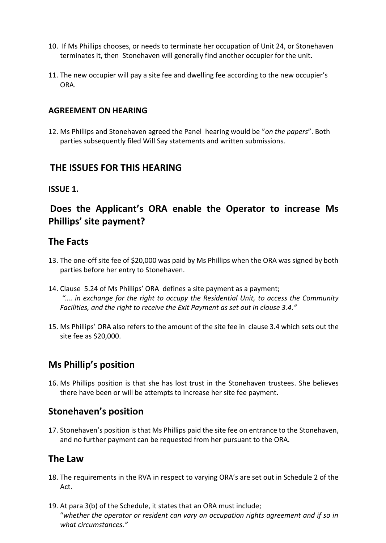- 10. If Ms Phillips chooses, or needs to terminate her occupation of Unit 24, or Stonehaven terminates it, then Stonehaven will generally find another occupier for the unit.
- 11. The new occupier will pay a site fee and dwelling fee according to the new occupier's ORA.

### **AGREEMENT ON HEARING**

12. Ms Phillips and Stonehaven agreed the Panel hearing would be "*on the papers*". Both parties subsequently filed Will Say statements and written submissions.

## **THE ISSUES FOR THIS HEARING**

### **ISSUE 1.**

# **Does the Applicant's ORA enable the Operator to increase Ms Phillips' site payment?**

## **The Facts**

- 13. The one-off site fee of \$20,000 was paid by Ms Phillips when the ORA was signed by both parties before her entry to Stonehaven.
- 14. Clause 5.24 of Ms Phillips' ORA defines a site payment as a payment; *"…. in exchange for the right to occupy the Residential Unit, to access the Community Facilities, and the right to receive the Exit Payment as set out in clause 3.4."*
- 15. Ms Phillips' ORA also refers to the amount of the site fee in clause 3.4 which sets out the site fee as \$20,000.

## **Ms Phillip's position**

16. Ms Phillips position is that she has lost trust in the Stonehaven trustees. She believes there have been or will be attempts to increase her site fee payment.

## **Stonehaven's position**

17. Stonehaven's position is that Ms Phillips paid the site fee on entrance to the Stonehaven, and no further payment can be requested from her pursuant to the ORA.

### **The Law**

- 18. The requirements in the RVA in respect to varying ORA's are set out in Schedule 2 of the Act.
- 19. At para 3(b) of the Schedule, it states that an ORA must include; "*whether the operator or resident can vary an occupation rights agreement and if so in what circumstances."*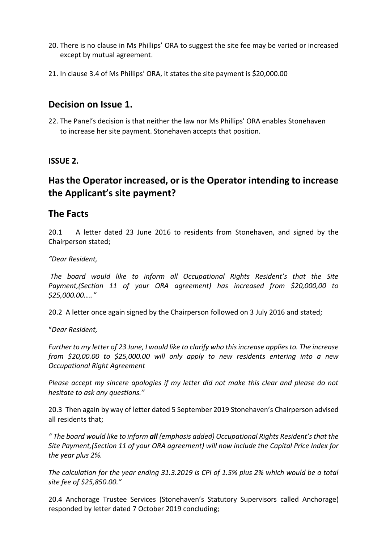- 20. There is no clause in Ms Phillips' ORA to suggest the site fee may be varied or increased except by mutual agreement.
- 21. In clause 3.4 of Ms Phillips' ORA, it states the site payment is \$20,000.00

## **Decision on Issue 1.**

22. The Panel's decision is that neither the law nor Ms Phillips' ORA enables Stonehaven to increase her site payment. Stonehaven accepts that position.

### **ISSUE 2.**

# **Has the Operator increased, or is the Operator intending to increase the Applicant's site payment?**

## **The Facts**

20.1 A letter dated 23 June 2016 to residents from Stonehaven, and signed by the Chairperson stated;

### *"Dear Resident,*

*The board would like to inform all Occupational Rights Resident's that the Site Payment,(Section 11 of your ORA agreement) has increased from \$20,000,00 to \$25,000.00….."*

20.2 A letter once again signed by the Chairperson followed on 3 July 2016 and stated;

"*Dear Resident,*

*Further to my letter of 23 June, I would like to clarify who this increase applies to. The increase from \$20,00.00 to \$25,000.00 will only apply to new residents entering into a new Occupational Right Agreement*

*Please accept my sincere apologies if my letter did not make this clear and please do not hesitate to ask any questions."*

20.3 Then again by way of letter dated 5 September 2019 Stonehaven's Chairperson advised all residents that;

*" The board would like to inform all (emphasis added) Occupational Rights Resident's that the Site Payment,(Section 11 of your ORA agreement) will now include the Capital Price Index for the year plus 2%.*

*The calculation for the year ending 31.3.2019 is CPI of 1.5% plus 2% which would be a total site fee of \$25,850.00."*

20.4 Anchorage Trustee Services (Stonehaven's Statutory Supervisors called Anchorage) responded by letter dated 7 October 2019 concluding;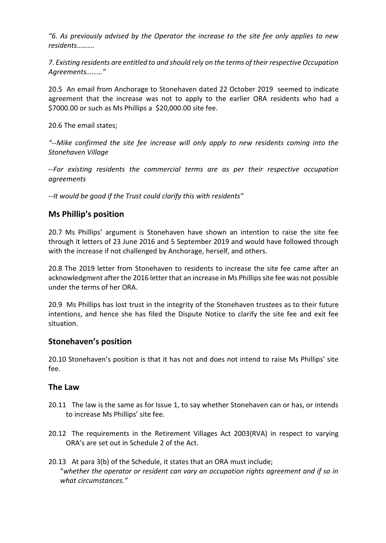*"6. As previously advised by the Operator the increase to the site fee only applies to new residents……….*

*7. Existing residents are entitled to and should rely on the terms of their respective Occupation Agreements………"*

20.5 An email from Anchorage to Stonehaven dated 22 October 2019 seemed to indicate agreement that the increase was not to apply to the earlier ORA residents who had a \$7000.00 or such as Ms Phillips a \$20,000.00 site fee.

20.6 The email states;

*"--Mike confirmed the site fee increase will only apply to new residents coming into the Stonehaven Village*

*--For existing residents the commercial terms are as per their respective occupation agreements*

*--It would be good if the Trust could clarify this with residents"*

### **Ms Phillip's position**

20.7 Ms Phillips' argument is Stonehaven have shown an intention to raise the site fee through it letters of 23 June 2016 and 5 September 2019 and would have followed through with the increase if not challenged by Anchorage, herself, and others.

20.8 The 2019 letter from Stonehaven to residents to increase the site fee came after an acknowledgment after the 2016 letter that an increase in Ms Phillips site fee was not possible under the terms of her ORA.

20.9 Ms Phillips has lost trust in the integrity of the Stonehaven trustees as to their future intentions, and hence she has filed the Dispute Notice to clarify the site fee and exit fee situation.

### **Stonehaven's position**

20.10 Stonehaven's position is that it has not and does not intend to raise Ms Phillips' site fee.

### **The Law**

- 20.11 The law is the same as for Issue 1, to say whether Stonehaven can or has, or intends to increase Ms Phillips' site fee.
- 20.12 The requirements in the Retirement Villages Act 2003(RVA) in respect to varying ORA's are set out in Schedule 2 of the Act.
- 20.13 At para 3(b) of the Schedule, it states that an ORA must include; "*whether the operator or resident can vary an occupation rights agreement and if so in what circumstances."*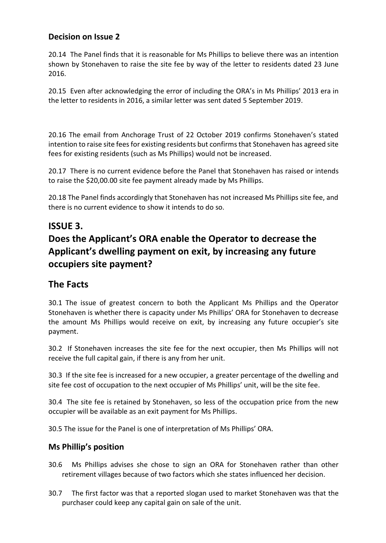## **Decision on Issue 2**

20.14 The Panel finds that it is reasonable for Ms Phillips to believe there was an intention shown by Stonehaven to raise the site fee by way of the letter to residents dated 23 June 2016.

20.15 Even after acknowledging the error of including the ORA's in Ms Phillips' 2013 era in the letter to residents in 2016, a similar letter was sent dated 5 September 2019.

20.16 The email from Anchorage Trust of 22 October 2019 confirms Stonehaven's stated intention to raise site fees for existing residents but confirms that Stonehaven has agreed site fees for existing residents (such as Ms Phillips) would not be increased.

20.17 There is no current evidence before the Panel that Stonehaven has raised or intends to raise the \$20,00.00 site fee payment already made by Ms Phillips.

20.18 The Panel finds accordingly that Stonehaven has not increased Ms Phillips site fee, and there is no current evidence to show it intends to do so.

## **ISSUE 3.**

# **Does the Applicant's ORA enable the Operator to decrease the Applicant's dwelling payment on exit, by increasing any future occupiers site payment?**

## **The Facts**

30.1 The issue of greatest concern to both the Applicant Ms Phillips and the Operator Stonehaven is whether there is capacity under Ms Phillips' ORA for Stonehaven to decrease the amount Ms Phillips would receive on exit, by increasing any future occupier's site payment.

30.2 If Stonehaven increases the site fee for the next occupier, then Ms Phillips will not receive the full capital gain, if there is any from her unit.

30.3 If the site fee is increased for a new occupier, a greater percentage of the dwelling and site fee cost of occupation to the next occupier of Ms Phillips' unit, will be the site fee.

30.4 The site fee is retained by Stonehaven, so less of the occupation price from the new occupier will be available as an exit payment for Ms Phillips.

30.5 The issue for the Panel is one of interpretation of Ms Phillips' ORA.

### **Ms Phillip's position**

- 30.6 Ms Phillips advises she chose to sign an ORA for Stonehaven rather than other retirement villages because of two factors which she states influenced her decision.
- 30.7 The first factor was that a reported slogan used to market Stonehaven was that the purchaser could keep any capital gain on sale of the unit.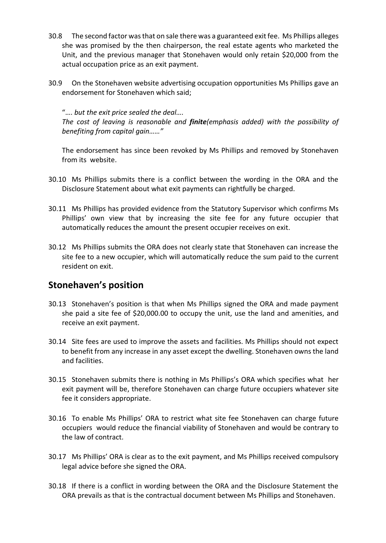- 30.8 The second factor was that on sale there was a guaranteed exit fee. Ms Phillips alleges she was promised by the then chairperson, the real estate agents who marketed the Unit, and the previous manager that Stonehaven would only retain \$20,000 from the actual occupation price as an exit payment.
- 30.9 On the Stonehaven website advertising occupation opportunities Ms Phillips gave an endorsement for Stonehaven which said;

#### "…. *but the exit price sealed the deal….*

*The cost of leaving is reasonable and finite(emphasis added) with the possibility of benefiting from capital gain……"*

The endorsement has since been revoked by Ms Phillips and removed by Stonehaven from its website.

- 30.10 Ms Phillips submits there is a conflict between the wording in the ORA and the Disclosure Statement about what exit payments can rightfully be charged.
- 30.11 Ms Phillips has provided evidence from the Statutory Supervisor which confirms Ms Phillips' own view that by increasing the site fee for any future occupier that automatically reduces the amount the present occupier receives on exit.
- 30.12 Ms Phillips submits the ORA does not clearly state that Stonehaven can increase the site fee to a new occupier, which will automatically reduce the sum paid to the current resident on exit.

## **Stonehaven's position**

- 30.13 Stonehaven's position is that when Ms Phillips signed the ORA and made payment she paid a site fee of \$20,000.00 to occupy the unit, use the land and amenities, and receive an exit payment.
- 30.14 Site fees are used to improve the assets and facilities. Ms Phillips should not expect to benefit from any increase in any asset except the dwelling. Stonehaven owns the land and facilities.
- 30.15 Stonehaven submits there is nothing in Ms Phillips's ORA which specifies what her exit payment will be, therefore Stonehaven can charge future occupiers whatever site fee it considers appropriate.
- 30.16 To enable Ms Phillips' ORA to restrict what site fee Stonehaven can charge future occupiers would reduce the financial viability of Stonehaven and would be contrary to the law of contract.
- 30.17 Ms Phillips' ORA is clear as to the exit payment, and Ms Phillips received compulsory legal advice before she signed the ORA.
- 30.18 If there is a conflict in wording between the ORA and the Disclosure Statement the ORA prevails as that is the contractual document between Ms Phillips and Stonehaven.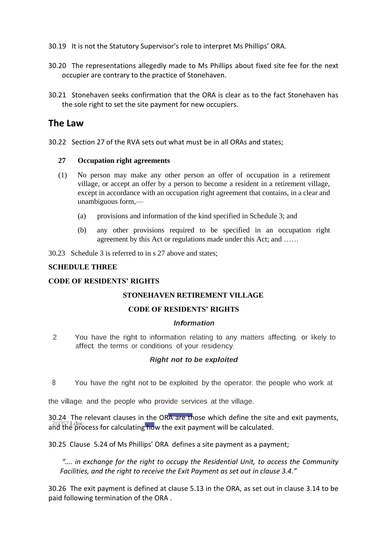- 30.19 It is not the Statutory Supervisor's role to interpret Ms Phillips' ORA.
- 30.20 The representations allegedly made to Ms Phillips about fixed site fee for the next occupier are contrary to the practice of Stonehaven.
- 30.21 Stonehaven seeks confirmation that the ORA is clear as to the fact Stonehaven has the sole right to set the site payment for new occupiers.

## **The Law**

30.22 Section 27 of the RVA sets out what must be in all ORAs and states;

#### **27 Occupation right agreements**

- (1) No person may make any other person an offer of occupation in a retirement village, or accept an offer by a person to become a resident in a retirement village, except in accordance with an occupation right agreement that contains, in a clear and unambiguous form,—
	- (a) provisions and information of the kind specified in Schedule 3; and
	- (b) any other provisions required to be specified in an occupation right agreement by this Act or regulations made under this Act; and ……
- 30.23 Schedule 3 is referred to in s 27 above and states;

#### **SCHEDULE THREE**

#### **CODE OF RESIDENTS' RIGHTS**

#### **STONEHAVEN RETIREMENT VILLAGE**

#### **CODE OF RESIDENTS' RIGHTS**

#### *Information*

2 You have the right to information relating to any matters affecting, or likely to affect, the terms or conditions of your residency.

#### *Right not to be exploited*

8 You have the right not to be exploited by the operator, the people who work at

the village, and the people who provide services at the village.

arrect, the terms of conduite<br>
Right<br>
212357.1.doc<br>
212357.1.doc<br>
212357.1.doc<br>
22357.1.doc<br>
22357.1.doc<br>
22357.1.doc<br>
22357.1.doc<br>
22357.1.doc<br>
22357.1.doc This of your<br>ht not to k<br>e exploited<br>wide service<br>RA are the<br>the exit pay<br>A defines 30.24 The relevant clauses in the ORA are those which define the site and exit payments,  $\frac{1}{4}$ and the process for calculating how the exit payment will be calculated.

30.25 Clause 5.24 of Ms Phillips' ORA defines a site payment as a payment;

*"…. in exchange for the right to occupy the Residential Unit, to access the Community Facilities, and the right to receive the Exit Payment as set out in clause 3.4."*

30.26 The exit payment is defined at clause 5.13 in the ORA, as set out in clause 3.14 to be paid following termination of the ORA .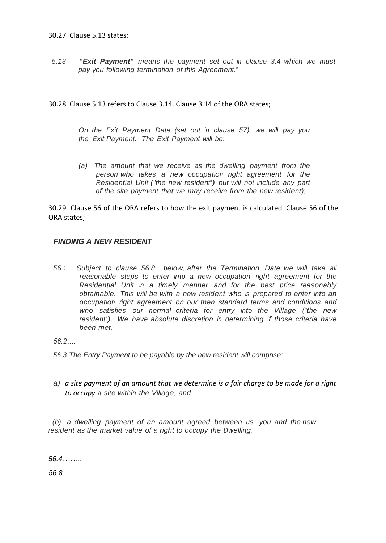#### 30.27 Clause 5.13 states:

*5.13 "Exit Payment" means the payment set out in clause 3.4 which we must pay you following termination of this Agreement."*

#### 30.28 Clause 5.13 refers to Clause 3.14. Clause 3.14 of the ORA states;

*On the Exit Payment Date (set out in clause 57), we will pay you the Exit Payment. The Exit Payment will be:*

*(a) The amount that we receive as the dwelling payment from the person who takes a new occupation right agreement for the Residential Unit ("the new resident") but will not include any part of the site payment that we may receive from the new resident);*

30.29 Clause 56 of the ORA refers to how the exit payment is calculated. Clause 56 of the ORA states;

#### *FINDING A NEW RESIDENT*

*56.1 Subject to clause 56.8 below, after the Termination Date we will take all reasonable steps to enter into a new occupation right agreement for the Residential Unit in a timely manner and for the best price reasonably obtainable. This will be with a new resident who is prepared to enter into an occupation right agreement on our then standard terms and conditions and who satisfies our normal criteria for entry into the Village ("the new resident"). We have absolute discretion in determining if those criteria have been met.*

*56.2….*

- *56.3 The Entry Payment to be payable by the new resident will comprise:*
- *a) a site payment of an amount that we determine is a fair charge to be made for a right to occupy <sup>a</sup> site within the Village, and*

 *(b) a dwelling payment of an amount agreed between us, you and the new resident as the market value of a right to occupy the Dwelling.*

*56.4……..*

*56.8……*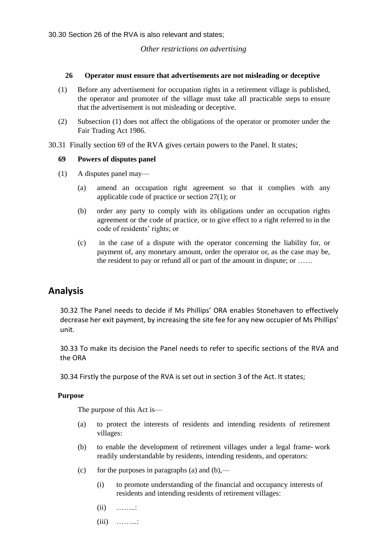30.30 Section 26 of the RVA is also relevant and states;

#### *Other restrictions on advertising*

#### **26 Operator must ensure that advertisements are not misleading or deceptive**

- (1) Before any advertisement for occupation rights in a retirement village is published, the operator and promoter of the village must take all practicable steps to ensure that the advertisement is not misleading or deceptive.
- (2) Subsection (1) does not affect the obligations of the operator or promoter under [the](http://legislation.govt.nz/pdflink.aspx?id=DLM96438)  [Fair Trading](http://legislation.govt.nz/pdflink.aspx?id=DLM96438) Act 1986.
- 30.31 Finally section 69 of the RVA gives certain powers to the Panel. It states;

#### **69 Powers of disputes panel**

- (1) A disputes panel may—
	- (a) amend an occupation right agreement so that it complies with any applicable code of practice or section 27(1); or
	- (b) order any party to comply with its obligations under an occupation rights agreement or the code of practice, or to give effect to a right referred to in the code of residents' rights; or
	- (c) in the case of a dispute with the operator concerning the liability for, or payment of, any monetary amount, order the operator or, as the case may be, the resident to pay or refund all or part of the amount in dispute; or ……

### **Analysis**

30.32 The Panel needs to decide if Ms Phillips' ORA enables Stonehaven to effectively decrease her exit payment, by increasing the site fee for any new occupier of Ms Phillips' unit.

30.33 To make its decision the Panel needs to refer to specific sections of the RVA and the ORA

30.34 Firstly the purpose of the RVA is set out in section 3 of the Act. It states;

#### **Purpose**

The purpose of this Act is—

- (a) to protect the interests of residents and intending residents of retirement villages:
- (b) to enable the development of retirement villages under a legal frame- work readily understandable by residents, intending residents, and operators:
- (c) for the purposes in paragraphs (a) and  $(b)$ ,—
	- (i) to promote understanding of the financial and occupancy interests of residents and intending residents of retirement villages:
	- $(ii)$  ……..:
	- (iii) ……...: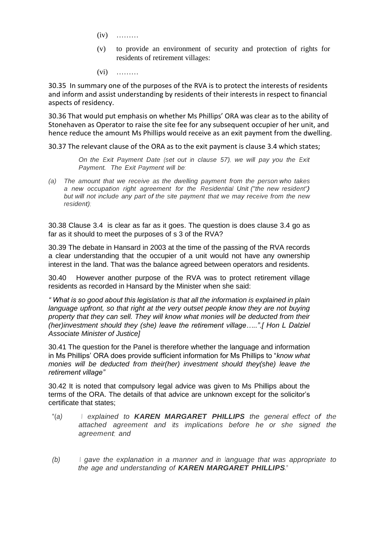- (iv) ………
- (v) to provide an environment of security and protection of rights for residents of retirement villages:
- (vi) ………

30.35 In summary one of the purposes of the RVA is to protect the interests of residents and inform and assist understanding by residents of their interests in respect to financial aspects of residency.

30.36 That would put emphasis on whether Ms Phillips' ORA was clear as to the ability of Stonehaven as Operator to raise the site fee for any subsequent occupier of her unit, and hence reduce the amount Ms Phillips would receive as an exit payment from the dwelling.

30.37 The relevant clause of the ORA as to the exit payment is clause 3.4 which states;

*On the Exit Payment Date (set out in clause 57), we will pay you the Exit Payment. The Exit Payment will be:*

*(a) The amount that we receive as the dwelling payment from the person who takes a new occupation right agreement for the Residential Unit ("the new resident") but will not include any part of the site payment that we may receive from the new resident);*

30.38 Clause 3.4 is clear as far as it goes. The question is does clause 3.4 go as far as it should to meet the purposes of s 3 of the RVA?

30.39 The debate in Hansard in 2003 at the time of the passing of the RVA records a clear understanding that the occupier of a unit would not have any ownership interest in the land. That was the balance agreed between operators and residents.

30.40 However another purpose of the RVA was to protect retirement village residents as recorded in Hansard by the Minister when she said:

*" What is so good about this legislation is that all the information is explained in plain*  language upfront, so that right at the very outset people know they are not buying *property that they can sell. They will know what monies will be deducted from their (her)investment should they (she) leave the retirement village…..".[ Hon L Dalziel Associate Minister of Justice]*

30.41 The question for the Panel is therefore whether the language and information in Ms Phillips' ORA does provide sufficient information for Ms Phillips to "*know what monies will be deducted from their(her) investment should they(she) leave the retirement village"*

30.42 It is noted that compulsory legal advice was given to Ms Phillips about the terms of the ORA. The details of that advice are unknown except for the solicitor's certificate that states;

- "(*a) I explained to KAREN MARGARET PHILLIPS the general effect of the attached agreement and its implications before he or she signed the agreement; and*
- *(b) I gave the explanation in a manner and in language that was appropriate to the age and understanding of KAREN MARGARET PHILLIPS***."**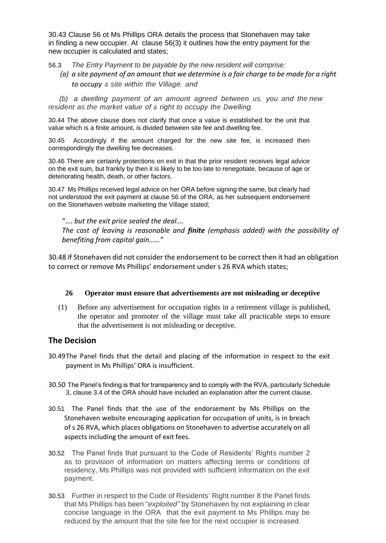30.43 Clause 56 ot Ms Phillips ORA details the process that Stonehaven may take in finding a new occupier. At clause 56(3) it outlines how the entry payment for the new occupier is calculated and states;

56.3 *The Entry Payment to be payable by the new resident will comprise:*

*(a) a site payment of an amount that we determine is a fair charge to be made for a right to occupy <sup>a</sup> site within the Village, and*

 *(b) a dwelling payment of an amount agreed between us, you and the new resident as the market value of a right to occupy the Dwelling.*

30.44 The above clause does not clarify that once a value is established for the unit that value which is a finite amount, is divided between site fee and dwelling fee.

30.45 Accordingly if the amount charged for the new site fee, is increased then correspondingly the dwelling fee decreases.

30.46 There are certainly protections on exit in that the prior resident receives legal advice on the exit sum, but frankly by then it is likely to be too late to renegotiate, because of age or deteriorating health, death, or other factors.

30.47 Ms Phillips received legal advice on her ORA before signing the same, but clearly had not understood the exit payment at clause 56 of the ORA, as her subsequent endorsement on the Stonehaven website marketing the Village stated;

"…. *but the exit price sealed the deal….*

*The cost of leaving is reasonable and finite (emphasis added) with the possibility of benefiting from capital gain……"*

30.48 If Stonehaven did not consider the endorsement to be correct then it had an obligation to correct or remove Ms Phillips' endorsement under s 26 RVA which states;

#### **26 Operator must ensure that advertisements are not misleading or deceptive**

(1) Before any advertisement for occupation rights in a retirement village is published, the operator and promoter of the village must take all practicable steps to ensure that the advertisement is not misleading or deceptive.

### **The Decision**

- 30.49The Panel finds that the detail and placing of the information in respect to the exit payment in Ms Phillips' ORA is insufficient.
- 30.50 The Panel's finding is that for transparency and to comply with the RVA, particularly Schedule 3, clause 3.4 of the ORA should have included an explanation after the current clause.
- 30.51 The Panel finds that the use of the endorsement by Ms Phillips on the Stonehaven website encouraging application for occupation of units, is in breach of s 26 RVA, which places obligations on Stonehaven to advertise accurately on all aspects including the amount of exit fees.
- 30.52 The Panel finds that pursuant to the Code of Residents' Rights number 2 as to provision of information on matters affecting terms or conditions of residency, Ms Phillips was not provided with sufficient information on the exit payment.
- 30.53 Further in respect to the Code of Residents' Right number 8 the Panel finds that Ms Phillips has been "*exploited"* by Stonehaven by not explaining in clear concise language in the ORA that the exit payment to Ms Phillips may be reduced by the amount that the site fee for the next occupier is increased.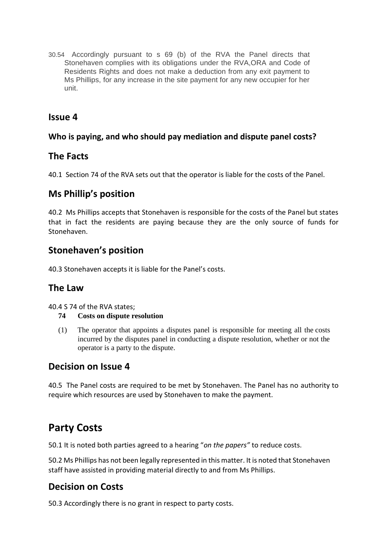30.54 Accordingly pursuant to s 69 (b) of the RVA the Panel directs that Stonehaven complies with its obligations under the RVA,ORA and Code of Residents Rights and does not make a deduction from any exit payment to Ms Phillips, for any increase in the site payment for any new occupier for her unit.

## **Issue 4**

## **Who is paying, and who should pay mediation and dispute panel costs?**

## **The Facts**

40.1 Section 74 of the RVA sets out that the operator is liable for the costs of the Panel.

## **Ms Phillip's position**

40.2 Ms Phillips accepts that Stonehaven is responsible for the costs of the Panel but states that in fact the residents are paying because they are the only source of funds for Stonehaven.

## **Stonehaven's position**

40.3 Stonehaven accepts it is liable for the Panel's costs.

## **The Law**

40.4 S 74 of the RVA states;

### **74 Costs on dispute resolution**

(1) The operator that appoints a disputes panel is responsible for meeting all the costs incurred by the disputes panel in conducting a dispute resolution, whether or not the operator is a party to the dispute.

## **Decision on Issue 4**

40.5 The Panel costs are required to be met by Stonehaven. The Panel has no authority to require which resources are used by Stonehaven to make the payment.

# **Party Costs**

50.1 It is noted both parties agreed to a hearing "*on the papers"* to reduce costs.

50.2 Ms Phillips has not been legally represented in this matter. It is noted that Stonehaven staff have assisted in providing material directly to and from Ms Phillips.

## **Decision on Costs**

50.3 Accordingly there is no grant in respect to party costs.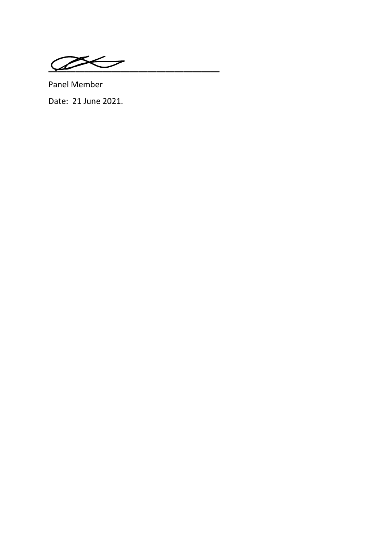$\sqrt{2}$ 

Panel Member Date: 21 June 2021.